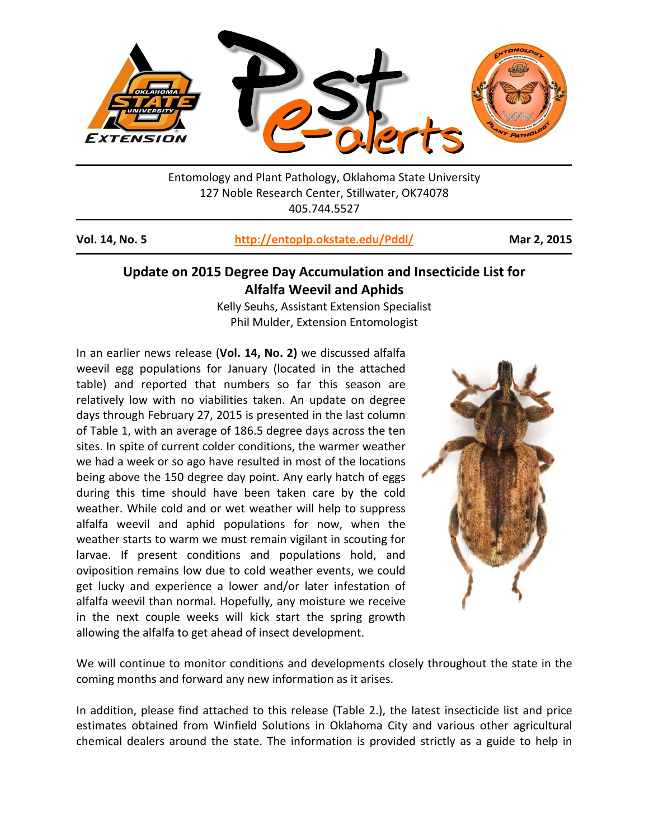

Entomology and Plant Pathology, Oklahoma State University 127 Noble Research Center, Stillwater, OK74078 405.744.5527

## **Vol. 14, No. 5 <http://entoplp.okstate.edu/Pddl/> Mar 2, 2015**

## **Update on 2015 Degree Day Accumulation and Insecticide List for Alfalfa Weevil and Aphids**

Kelly Seuhs, Assistant Extension Specialist Phil Mulder, Extension Entomologist

In an earlier news release (**Vol. 14, No. 2)** we discussed alfalfa weevil egg populations for January (located in the attached table) and reported that numbers so far this season are relatively low with no viabilities taken. An update on degree days through February 27, 2015 is presented in the last column of Table 1, with an average of 186.5 degree days across the ten sites. In spite of current colder conditions, the warmer weather we had a week or so ago have resulted in most of the locations being above the 150 degree day point. Any early hatch of eggs during this time should have been taken care by the cold weather. While cold and or wet weather will help to suppress alfalfa weevil and aphid populations for now, when the weather starts to warm we must remain vigilant in scouting for larvae. If present conditions and populations hold, and oviposition remains low due to cold weather events, we could get lucky and experience a lower and/or later infestation of alfalfa weevil than normal. Hopefully, any moisture we receive in the next couple weeks will kick start the spring growth allowing the alfalfa to get ahead of insect development.



We will continue to monitor conditions and developments closely throughout the state in the coming months and forward any new information as it arises.

In addition, please find attached to this release (Table 2.), the latest insecticide list and price estimates obtained from Winfield Solutions in Oklahoma City and various other agricultural chemical dealers around the state. The information is provided strictly as a guide to help in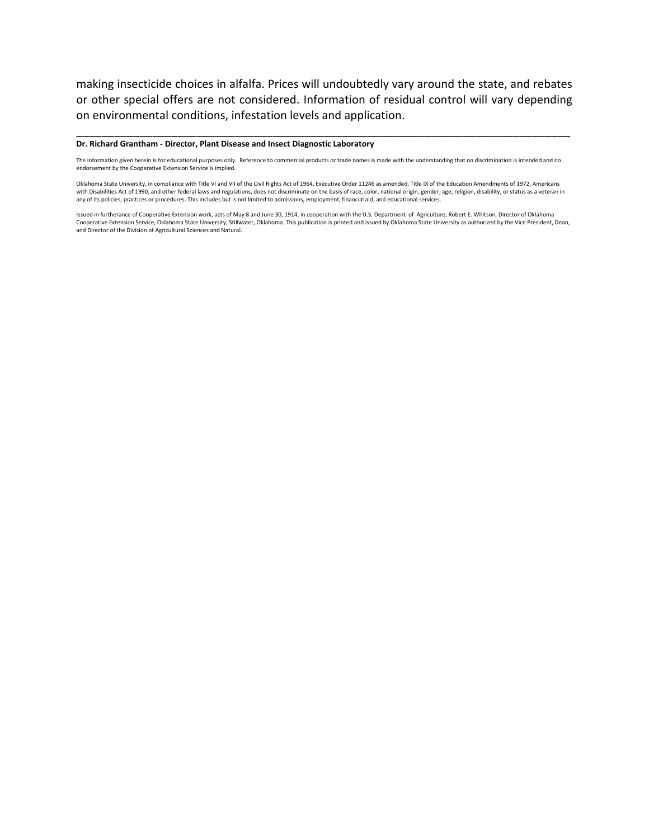making insecticide choices in alfalfa. Prices will undoubtedly vary around the state, and rebates or other special offers are not considered. Information of residual control will vary depending on environmental conditions, infestation levels and application.

\_\_\_\_\_\_\_\_\_\_\_\_\_\_\_\_\_\_\_\_\_\_\_\_\_\_\_\_\_\_\_\_\_\_\_\_\_\_\_\_\_\_\_\_\_\_\_\_\_\_\_\_\_\_\_\_\_\_\_\_\_\_\_\_\_\_\_\_\_\_\_\_\_\_\_\_\_\_

## **Dr. Richard Grantham - Director, Plant Disease and Insect Diagnostic Laboratory**

The information given herein is for educational purposes only. Reference to commercial products or trade names is made with the understanding that no discrimination is intended and no endorsement by the Cooperative Extension Service is implied.

Oklahoma State University, in compliance with Title VI and VII of the Civil Rights Act of 1964, Executive Order 11246 as amended, Title IX of the Education Amendments of 1972, Americans with Disabilities Act of 1990, and other federal laws and regulations, does not discriminate on the basis of race, color, national origin, gender, age, religion, disability, or status as a veteran in<br>any of its policies, p

Issued in furtherance of Cooperative Extension work, acts of May 8 and June 30, 1914, in cooperation with the U.S. Department of Agriculture, Robert E. Whitson, Director of Oklahoma Cooperative Extension Service, Oklahoma State University, Stillwater, Oklahoma. This publication is printed and issued by Oklahoma State University as authorized by the Vice President, Dean,<br>and Director of the Division of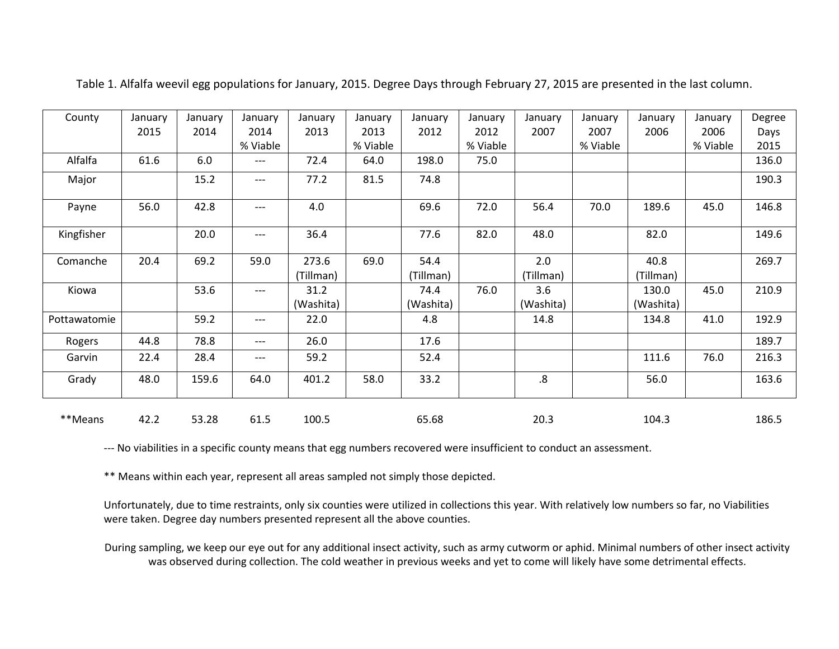| County       | January | January | January  | January   | January  | January   | January  | January   | January  | January   | January  | Degree |
|--------------|---------|---------|----------|-----------|----------|-----------|----------|-----------|----------|-----------|----------|--------|
|              | 2015    | 2014    | 2014     | 2013      | 2013     | 2012      | 2012     | 2007      | 2007     | 2006      | 2006     | Days   |
|              |         |         | % Viable |           | % Viable |           | % Viable |           | % Viable |           | % Viable | 2015   |
| Alfalfa      | 61.6    | 6.0     | ---      | 72.4      | 64.0     | 198.0     | 75.0     |           |          |           |          | 136.0  |
| Major        |         | 15.2    | ---      | 77.2      | 81.5     | 74.8      |          |           |          |           |          | 190.3  |
| Payne        | 56.0    | 42.8    | $---$    | 4.0       |          | 69.6      | 72.0     | 56.4      | 70.0     | 189.6     | 45.0     | 146.8  |
| Kingfisher   |         | 20.0    | ---      | 36.4      |          | 77.6      | 82.0     | 48.0      |          | 82.0      |          | 149.6  |
| Comanche     | 20.4    | 69.2    | 59.0     | 273.6     | 69.0     | 54.4      |          | 2.0       |          | 40.8      |          | 269.7  |
|              |         |         |          | (Tillman) |          | (Tillman) |          | (Tillman) |          | (Tillman) |          |        |
| Kiowa        |         | 53.6    | ---      | 31.2      |          | 74.4      | 76.0     | 3.6       |          | 130.0     | 45.0     | 210.9  |
|              |         |         |          | (Washita) |          | (Washita) |          | (Washita) |          | (Washita) |          |        |
| Pottawatomie |         | 59.2    | ---      | 22.0      |          | 4.8       |          | 14.8      |          | 134.8     | 41.0     | 192.9  |
| Rogers       | 44.8    | 78.8    | ---      | 26.0      |          | 17.6      |          |           |          |           |          | 189.7  |
| Garvin       | 22.4    | 28.4    | ---      | 59.2      |          | 52.4      |          |           |          | 111.6     | 76.0     | 216.3  |
| Grady        | 48.0    | 159.6   | 64.0     | 401.2     | 58.0     | 33.2      |          | .8        |          | 56.0      |          | 163.6  |
| **Means      | 42.2    | 53.28   | 61.5     | 100.5     |          | 65.68     |          | 20.3      |          | 104.3     |          | 186.5  |

Table 1. Alfalfa weevil egg populations for January, 2015. Degree Days through February 27, 2015 are presented in the last column.

--- No viabilities in a specific county means that egg numbers recovered were insufficient to conduct an assessment.

\*\* Means within each year, represent all areas sampled not simply those depicted.

Unfortunately, due to time restraints, only six counties were utilized in collections this year. With relatively low numbers so far, no Viabilities were taken. Degree day numbers presented represent all the above counties.

During sampling, we keep our eye out for any additional insect activity, such as army cutworm or aphid. Minimal numbers of other insect activity was observed during collection. The cold weather in previous weeks and yet to come will likely have some detrimental effects.